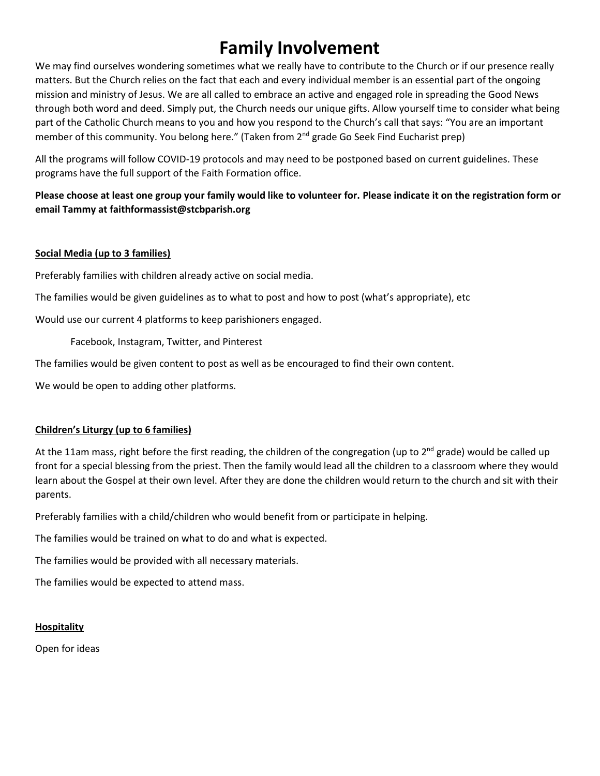# **Family Involvement**

We may find ourselves wondering sometimes what we really have to contribute to the Church or if our presence really matters. But the Church relies on the fact that each and every individual member is an essential part of the ongoing mission and ministry of Jesus. We are all called to embrace an active and engaged role in spreading the Good News through both word and deed. Simply put, the Church needs our unique gifts. Allow yourself time to consider what being part of the Catholic Church means to you and how you respond to the Church's call that says: "You are an important member of this community. You belong here." (Taken from 2<sup>nd</sup> grade Go Seek Find Eucharist prep)

All the programs will follow COVID-19 protocols and may need to be postponed based on current guidelines. These programs have the full support of the Faith Formation office.

**Please choose at least one group your family would like to volunteer for. Please indicate it on the registration form or email Tammy at faithformassist@stcbparish.org**

## **Social Media (up to 3 families)**

Preferably families with children already active on social media.

The families would be given guidelines as to what to post and how to post (what's appropriate), etc

Would use our current 4 platforms to keep parishioners engaged.

Facebook, Instagram, Twitter, and Pinterest

The families would be given content to post as well as be encouraged to find their own content.

We would be open to adding other platforms.

## **Children's Liturgy (up to 6 families)**

At the 11am mass, right before the first reading, the children of the congregation (up to 2<sup>nd</sup> grade) would be called up front for a special blessing from the priest. Then the family would lead all the children to a classroom where they would learn about the Gospel at their own level. After they are done the children would return to the church and sit with their parents.

Preferably families with a child/children who would benefit from or participate in helping.

The families would be trained on what to do and what is expected.

The families would be provided with all necessary materials.

The families would be expected to attend mass.

## **Hospitality**

Open for ideas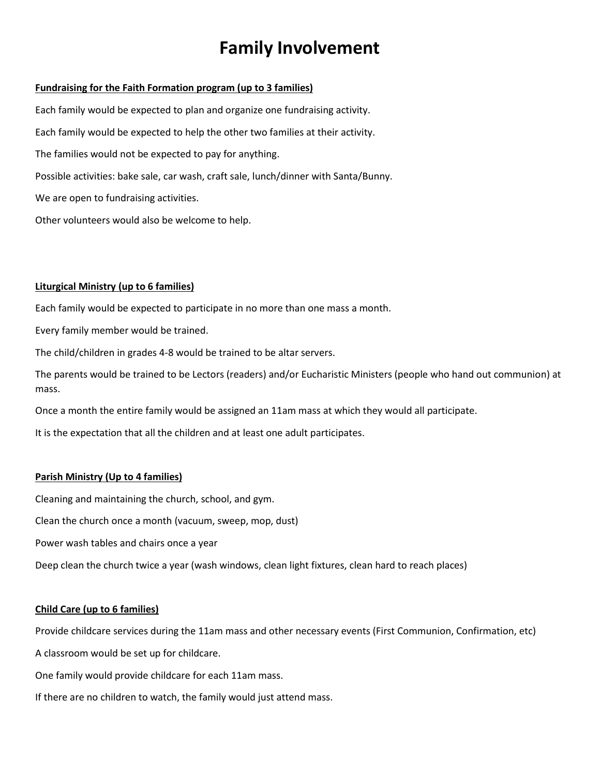# **Family Involvement**

#### **Fundraising for the Faith Formation program (up to 3 families)**

Each family would be expected to plan and organize one fundraising activity. Each family would be expected to help the other two families at their activity. The families would not be expected to pay for anything. Possible activities: bake sale, car wash, craft sale, lunch/dinner with Santa/Bunny. We are open to fundraising activities. Other volunteers would also be welcome to help.

#### **Liturgical Ministry (up to 6 families)**

Each family would be expected to participate in no more than one mass a month.

Every family member would be trained.

The child/children in grades 4-8 would be trained to be altar servers.

The parents would be trained to be Lectors (readers) and/or Eucharistic Ministers (people who hand out communion) at mass.

Once a month the entire family would be assigned an 11am mass at which they would all participate.

It is the expectation that all the children and at least one adult participates.

#### **Parish Ministry (Up to 4 families)**

Cleaning and maintaining the church, school, and gym.

Clean the church once a month (vacuum, sweep, mop, dust)

Power wash tables and chairs once a year

Deep clean the church twice a year (wash windows, clean light fixtures, clean hard to reach places)

#### **Child Care (up to 6 families)**

Provide childcare services during the 11am mass and other necessary events (First Communion, Confirmation, etc)

A classroom would be set up for childcare.

One family would provide childcare for each 11am mass.

If there are no children to watch, the family would just attend mass.